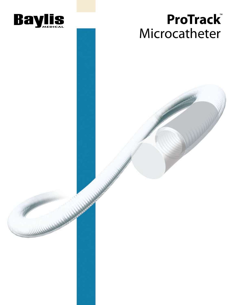